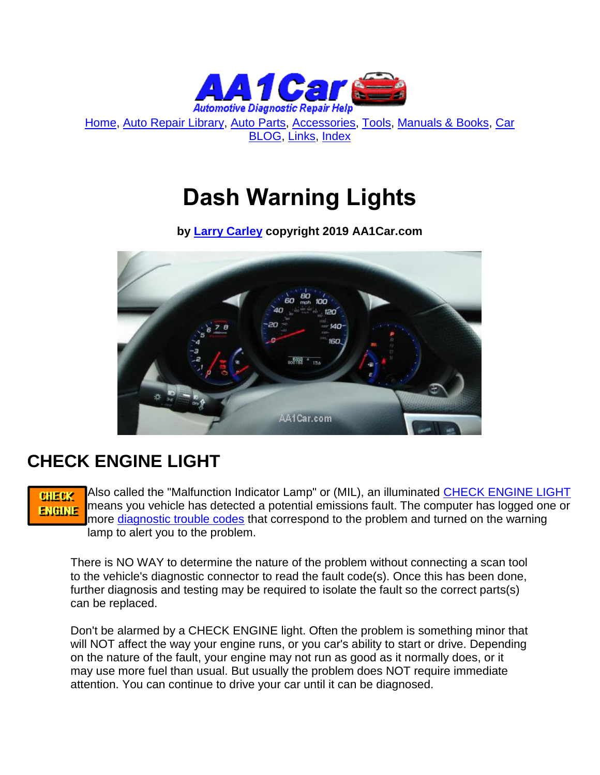

[Home,](http://www.aa1car.com/) [Auto Repair Library,](http://www.aa1car.com/library.htm) [Auto Parts,](http://www.aa1car.com/links_parts.htm) [Accessories,](http://www.aa1car.com/links_accessories.htm) [Tools,](http://www.aa1car.com/links_tools.htm) [Manuals & Books,](http://www.aa1car.com/links_books.htm) [Car](http://www.aa1car.com/blog/blog.htm)  [BLOG,](http://www.aa1car.com/blog/blog.htm) [Links,](http://www.aa1car.com/links.htm) [Index](http://www.aa1car.com/index_alphabetical.htm)

# **Dash Warning Lights**

**by [Larry Carley](https://www.aa1car.com/larrypage/larrycarley_photos.htm) copyright 2019 AA1Car.com**



#### **CHECK ENGINE LIGHT**

Also called the "Malfunction Indicator Lamp" or (MIL), an illuminated [CHECK ENGINE LIGHT](http://www.aa1car.com/library/mil.htm) **CHECK** means you vehicle has detected a potential emissions fault. The computer has logged one or **ENGINE** more [diagnostic trouble codes](http://www.aa1car.com/library/trouble_code.htm) that correspond to the problem and turned on the warning lamp to alert you to the problem.

There is NO WAY to determine the nature of the problem without connecting a scan tool to the vehicle's diagnostic connector to read the fault code(s). Once this has been done, further diagnosis and testing may be required to isolate the fault so the correct parts(s) can be replaced.

Don't be alarmed by a CHECK ENGINE light. Often the problem is something minor that will NOT affect the way your engine runs, or you car's ability to start or drive. Depending on the nature of the fault, your engine may not run as good as it normally does, or it may use more fuel than usual. But usually the problem does NOT require immediate attention. You can continue to drive your car until it can be diagnosed.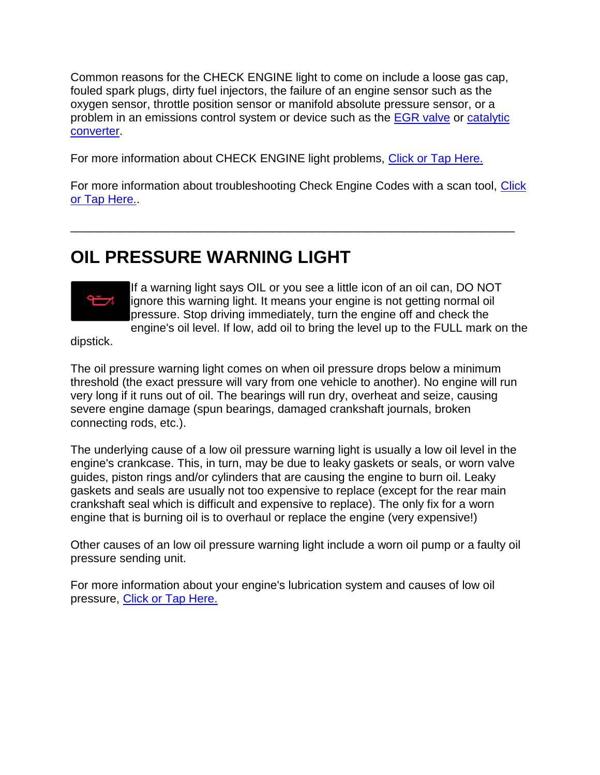Common reasons for the CHECK ENGINE light to come on include a loose gas cap, fouled spark plugs, dirty fuel injectors, the failure of an engine sensor such as the oxygen sensor, throttle position sensor or manifold absolute pressure sensor, or a problem in an emissions control system or device such as the **EGR valve or catalytic** [converter.](http://www.aa1car.com/library/converter.htm)

For more information about CHECK ENGINE light problems, [Click or Tap Here.](http://www.aa1car.com/library/mil.htm)

For more information about troubleshooting Check Engine Codes with a scan tool, [Click](http://www.aa1car.com/carleyware/scantool_companion.htm)  [or Tap Here..](http://www.aa1car.com/carleyware/scantool_companion.htm)

\_\_\_\_\_\_\_\_\_\_\_\_\_\_\_\_\_\_\_\_\_\_\_\_\_\_\_\_\_\_\_\_\_\_\_\_\_\_\_\_\_\_\_\_\_\_\_\_\_\_\_\_\_\_\_\_\_\_\_\_\_\_\_\_\_\_\_\_

## **OIL PRESSURE WARNING LIGHT**



If a warning light says OIL or you see a little icon of an oil can, DO NOT ignore this warning light. It means your engine is not getting normal oil pressure. Stop driving immediately, turn the engine off and check the engine's oil level. If low, add oil to bring the level up to the FULL mark on the

dipstick.

The oil pressure warning light comes on when oil pressure drops below a minimum threshold (the exact pressure will vary from one vehicle to another). No engine will run very long if it runs out of oil. The bearings will run dry, overheat and seize, causing severe engine damage (spun bearings, damaged crankshaft journals, broken connecting rods, etc.).

The underlying cause of a low oil pressure warning light is usually a low oil level in the engine's crankcase. This, in turn, may be due to leaky gaskets or seals, or worn valve guides, piston rings and/or cylinders that are causing the engine to burn oil. Leaky gaskets and seals are usually not too expensive to replace (except for the rear main crankshaft seal which is difficult and expensive to replace). The only fix for a worn engine that is burning oil is to overhaul or replace the engine (very expensive!)

Other causes of an low oil pressure warning light include a worn oil pump or a faulty oil pressure sending unit.

For more information about your engine's lubrication system and causes of low oil pressure, [Click or Tap Here.](http://www.aa1car.com/library/us1097.htm)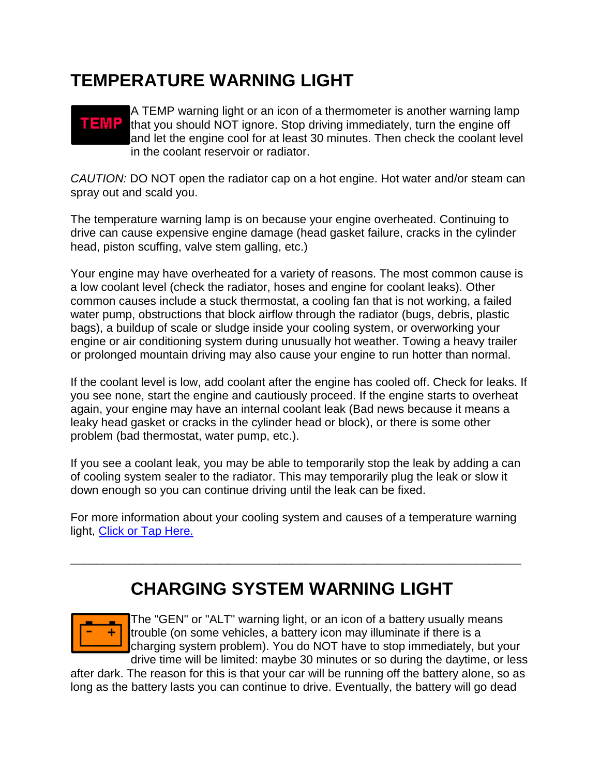#### **TEMPERATURE WARNING LIGHT**

#### A TEMP warning light or an icon of a thermometer is another warning lamp TEMP that you should NOT ignore. Stop driving immediately, turn the engine off and let the engine cool for at least 30 minutes. Then check the coolant level in the coolant reservoir or radiator.

*CAUTION:* DO NOT open the radiator cap on a hot engine. Hot water and/or steam can spray out and scald you.

The temperature warning lamp is on because your engine overheated. Continuing to drive can cause expensive engine damage (head gasket failure, cracks in the cylinder head, piston scuffing, valve stem galling, etc.)

Your engine may have overheated for a variety of reasons. The most common cause is a low coolant level (check the radiator, hoses and engine for coolant leaks). Other common causes include a stuck thermostat, a cooling fan that is not working, a failed water pump, obstructions that block airflow through the radiator (bugs, debris, plastic bags), a buildup of scale or sludge inside your cooling system, or overworking your engine or air conditioning system during unusually hot weather. Towing a heavy trailer or prolonged mountain driving may also cause your engine to run hotter than normal.

If the coolant level is low, add coolant after the engine has cooled off. Check for leaks. If you see none, start the engine and cautiously proceed. If the engine starts to overheat again, your engine may have an internal coolant leak (Bad news because it means a leaky head gasket or cracks in the cylinder head or block), or there is some other problem (bad thermostat, water pump, etc.).

If you see a coolant leak, you may be able to temporarily stop the leak by adding a can of cooling system sealer to the radiator. This may temporarily plug the leak or slow it down enough so you can continue driving until the leak can be fixed.

For more information about your cooling system and causes of a temperature warning light, [Click or Tap Here.](http://www.aa1car.com/library/temp_warning_light.htm)

\_\_\_\_\_\_\_\_\_\_\_\_\_\_\_\_\_\_\_\_\_\_\_\_\_\_\_\_\_\_\_\_\_\_\_\_\_\_\_\_\_\_\_\_\_\_\_\_\_\_\_\_\_\_\_\_\_\_\_\_\_\_\_\_\_\_\_\_\_

## **CHARGING SYSTEM WARNING LIGHT**



The "GEN" or "ALT" warning light, or an icon of a battery usually means trouble (on some vehicles, a battery icon may illuminate if there is a charging system problem). You do NOT have to stop immediately, but your drive time will be limited: maybe 30 minutes or so during the daytime, or less

after dark. The reason for this is that your car will be running off the battery alone, so as long as the battery lasts you can continue to drive. Eventually, the battery will go dead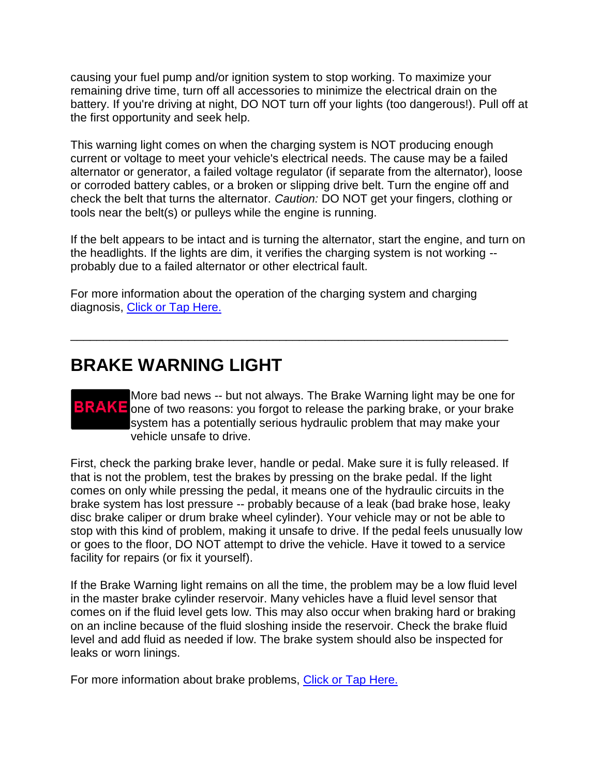causing your fuel pump and/or ignition system to stop working. To maximize your remaining drive time, turn off all accessories to minimize the electrical drain on the battery. If you're driving at night, DO NOT turn off your lights (too dangerous!). Pull off at the first opportunity and seek help.

This warning light comes on when the charging system is NOT producing enough current or voltage to meet your vehicle's electrical needs. The cause may be a failed alternator or generator, a failed voltage regulator (if separate from the alternator), loose or corroded battery cables, or a broken or slipping drive belt. Turn the engine off and check the belt that turns the alternator. *Caution:* DO NOT get your fingers, clothing or tools near the belt(s) or pulleys while the engine is running.

If the belt appears to be intact and is turning the alternator, start the engine, and turn on the headlights. If the lights are dim, it verifies the charging system is not working - probably due to a failed alternator or other electrical fault.

For more information about the operation of the charging system and charging diagnosis, [Click or Tap Here.](http://www.aa1car.com/library/2002/cm10220.htm)

\_\_\_\_\_\_\_\_\_\_\_\_\_\_\_\_\_\_\_\_\_\_\_\_\_\_\_\_\_\_\_\_\_\_\_\_\_\_\_\_\_\_\_\_\_\_\_\_\_\_\_\_\_\_\_\_\_\_\_\_\_\_\_\_\_\_\_

#### **BRAKE WARNING LIGHT**

More bad news -- but not always. The Brake Warning light may be one for **BRAKE** one of two reasons: you forgot to release the parking brake, or your brake system has a potentially serious hydraulic problem that may make your vehicle unsafe to drive.

First, check the parking brake lever, handle or pedal. Make sure it is fully released. If that is not the problem, test the brakes by pressing on the brake pedal. If the light comes on only while pressing the pedal, it means one of the hydraulic circuits in the brake system has lost pressure -- probably because of a leak (bad brake hose, leaky disc brake caliper or drum brake wheel cylinder). Your vehicle may or not be able to stop with this kind of problem, making it unsafe to drive. If the pedal feels unusually low or goes to the floor, DO NOT attempt to drive the vehicle. Have it towed to a service facility for repairs (or fix it yourself).

If the Brake Warning light remains on all the time, the problem may be a low fluid level in the master brake cylinder reservoir. Many vehicles have a fluid level sensor that comes on if the fluid level gets low. This may also occur when braking hard or braking on an incline because of the fluid sloshing inside the reservoir. Check the brake fluid level and add fluid as needed if low. The brake system should also be inspected for leaks or worn linings.

For more information about brake problems, [Click or Tap Here.](http://www.aa1car.com/library/bfixes.htm)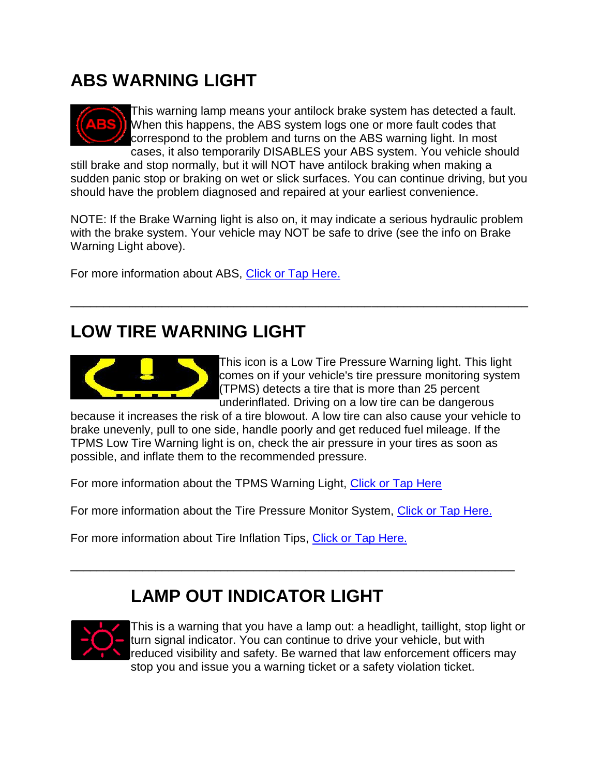#### **ABS WARNING LIGHT**



This warning lamp means your antilock brake system has detected a fault. When this happens, the ABS system logs one or more fault codes that correspond to the problem and turns on the ABS warning light. In most cases, it also temporarily DISABLES your ABS system. You vehicle should

still brake and stop normally, but it will NOT have antilock braking when making a sudden panic stop or braking on wet or slick surfaces. You can continue driving, but you should have the problem diagnosed and repaired at your earliest convenience.

NOTE: If the Brake Warning light is also on, it may indicate a serious hydraulic problem with the brake system. Your vehicle may NOT be safe to drive (see the info on Brake Warning Light above).

\_\_\_\_\_\_\_\_\_\_\_\_\_\_\_\_\_\_\_\_\_\_\_\_\_\_\_\_\_\_\_\_\_\_\_\_\_\_\_\_\_\_\_\_\_\_\_\_\_\_\_\_\_\_\_\_\_\_\_\_\_\_\_\_\_\_\_\_\_\_

For more information about ABS, [Click or Tap Here.](http://www.aa1car.com/library/abs1.htm)

#### **LOW TIRE WARNING LIGHT**



This icon is a Low Tire Pressure Warning light. This light comes on if your vehicle's tire pressure monitoring system (TPMS) detects a tire that is more than 25 percent underinflated. Driving on a low tire can be dangerous

because it increases the risk of a tire blowout. A low tire can also cause your vehicle to brake unevenly, pull to one side, handle poorly and get reduced fuel mileage. If the TPMS Low Tire Warning light is on, check the air pressure in your tires as soon as possible, and inflate them to the recommended pressure.

For more information about the TPMS Warning Light, [Click or Tap Here](http://www.aa1car.com/library/tpms_warning_light.htm)

For more information about the Tire Pressure Monitor System, [Click or Tap Here.](http://www.aa1car.com/library/tire_monitors.htm)

\_\_\_\_\_\_\_\_\_\_\_\_\_\_\_\_\_\_\_\_\_\_\_\_\_\_\_\_\_\_\_\_\_\_\_\_\_\_\_\_\_\_\_\_\_\_\_\_\_\_\_\_\_\_\_\_\_\_\_\_\_\_\_\_\_\_\_\_

For more information about Tire Inflation Tips, [Click or Tap Here.](http://www.aa1car.com/library/tirepres.htm)

#### **LAMP OUT INDICATOR LIGHT**



This is a warning that you have a lamp out: a headlight, taillight, stop light or turn signal indicator. You can continue to drive your vehicle, but with reduced visibility and safety. Be warned that law enforcement officers may stop you and issue you a warning ticket or a safety violation ticket.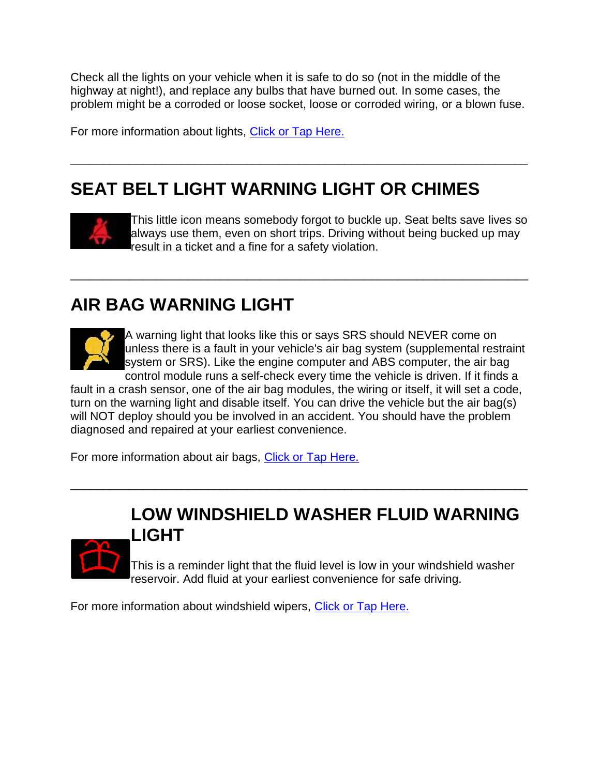Check all the lights on your vehicle when it is safe to do so (not in the middle of the highway at night!), and replace any bulbs that have burned out. In some cases, the problem might be a corroded or loose socket, loose or corroded wiring, or a blown fuse.

\_\_\_\_\_\_\_\_\_\_\_\_\_\_\_\_\_\_\_\_\_\_\_\_\_\_\_\_\_\_\_\_\_\_\_\_\_\_\_\_\_\_\_\_\_\_\_\_\_\_\_\_\_\_\_\_\_\_\_\_\_\_\_\_\_\_\_\_\_\_

\_\_\_\_\_\_\_\_\_\_\_\_\_\_\_\_\_\_\_\_\_\_\_\_\_\_\_\_\_\_\_\_\_\_\_\_\_\_\_\_\_\_\_\_\_\_\_\_\_\_\_\_\_\_\_\_\_\_\_\_\_\_\_\_\_\_\_\_\_\_

For more information about lights, [Click or Tap Here.](http://www.aa1car.com/library/2001/cm40139.htm)

## **SEAT BELT LIGHT WARNING LIGHT OR CHIMES**



This little icon means somebody forgot to buckle up. Seat belts save lives so always use them, even on short trips. Driving without being bucked up may result in a ticket and a fine for a safety violation.

#### **AIR BAG WARNING LIGHT**



A warning light that looks like this or says SRS should NEVER come on unless there is a fault in your vehicle's air bag system (supplemental restraint system or SRS). Like the engine computer and ABS computer, the air bag control module runs a self-check every time the vehicle is driven. If it finds a

fault in a crash sensor, one of the air bag modules, the wiring or itself, it will set a code, turn on the warning light and disable itself. You can drive the vehicle but the air bag(s) will NOT deploy should you be involved in an accident. You should have the problem diagnosed and repaired at your earliest convenience.

\_\_\_\_\_\_\_\_\_\_\_\_\_\_\_\_\_\_\_\_\_\_\_\_\_\_\_\_\_\_\_\_\_\_\_\_\_\_\_\_\_\_\_\_\_\_\_\_\_\_\_\_\_\_\_\_\_\_\_\_\_\_\_\_\_\_\_\_\_\_

For more information about air bags, [Click or Tap Here.](http://www.aa1car.com/library/airbag01.htm)

#### **LOW WINDSHIELD WASHER FLUID WARNING LIGHT**



This is a reminder light that the fluid level is low in your windshield washer reservoir. Add fluid at your earliest convenience for safe driving.

For more information about windshield wipers, [Click or Tap Here.](http://www.aa1car.com/library/replace_windshield_wiper_blades.htm)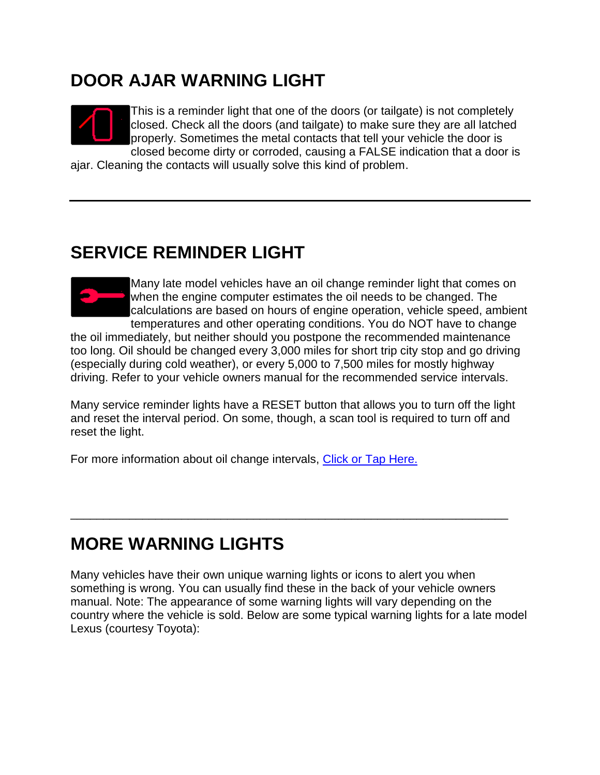#### **DOOR AJAR WARNING LIGHT**



This is a reminder light that one of the doors (or tailgate) is not completely closed. Check all the doors (and tailgate) to make sure they are all latched properly. Sometimes the metal contacts that tell your vehicle the door is closed become dirty or corroded, causing a FALSE indication that a door is

ajar. Cleaning the contacts will usually solve this kind of problem.

## **SERVICE REMINDER LIGHT**



Many late model vehicles have an oil change reminder light that comes on when the engine computer estimates the oil needs to be changed. The calculations are based on hours of engine operation, vehicle speed, ambient temperatures and other operating conditions. You do NOT have to change

the oil immediately, but neither should you postpone the recommended maintenance too long. Oil should be changed every 3,000 miles for short trip city stop and go driving (especially during cold weather), or every 5,000 to 7,500 miles for mostly highway driving. Refer to your vehicle owners manual for the recommended service intervals.

Many service reminder lights have a RESET button that allows you to turn off the light and reset the interval period. On some, though, a scan tool is required to turn off and reset the light.

\_\_\_\_\_\_\_\_\_\_\_\_\_\_\_\_\_\_\_\_\_\_\_\_\_\_\_\_\_\_\_\_\_\_\_\_\_\_\_\_\_\_\_\_\_\_\_\_\_\_\_\_\_\_\_\_\_\_\_\_\_\_\_\_\_\_\_

For more information about oil change intervals, [Click or Tap Here.](http://www.aa1car.com/library/how_often_change_oil.htm)

## **MORE WARNING LIGHTS**

Many vehicles have their own unique warning lights or icons to alert you when something is wrong. You can usually find these in the back of your vehicle owners manual. Note: The appearance of some warning lights will vary depending on the country where the vehicle is sold. Below are some typical warning lights for a late model Lexus (courtesy Toyota):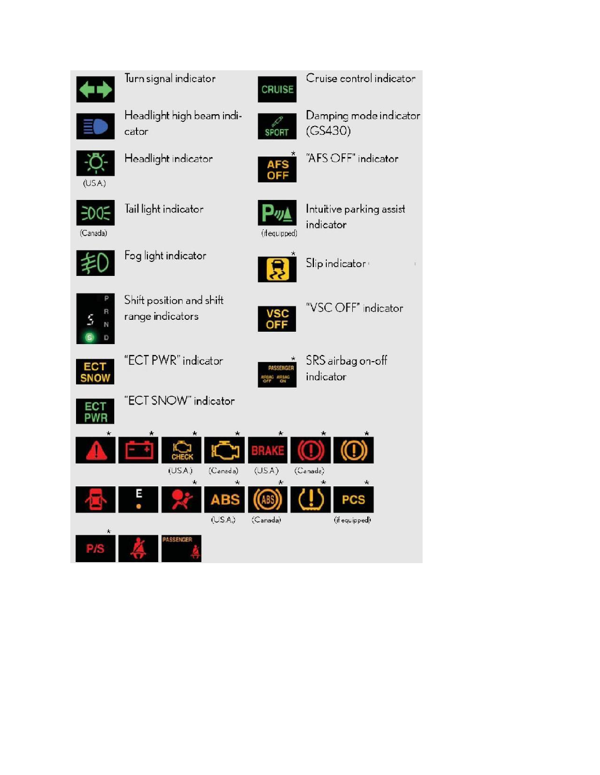

Turn signal indicator



Headlight high beam indicator



Cruise control indicator



Damping mode indicator  $(GS430)$ 



"AFS OFF" indicator



 $(USA.)$ 

Tail light indicator

Headlight indicator



Intuitive parking assist indicator



R

N D Fog light indicator



Slip indicator:





"VSC OFF" indicator



"ECT PWR" indicator

Shift position and shift

range indicators



 $(USA)$ 

(Canada)

 $\star$ 

 $\overline{(Canada)}$ 

 $\star$ 

SRS airbag on-off indicator

(if equipped)





"ECT SNOW" indicator

CHEC

 $(USA)$ 

 $\star$ 

 $(Canada)$ 

 $(US.A.)$ 

 $\star$